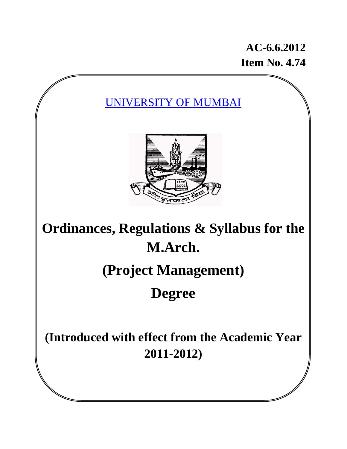**AC-6.6.2012 Item No. 4.74** 

UNIVERSITY OF MUMBAI



# **Ordinances, Regulations & Syllabus for the M.Arch.**

# **(Project Management)**

# **Degree**

**(Introduced with effect from the Academic Year 2011-2012)**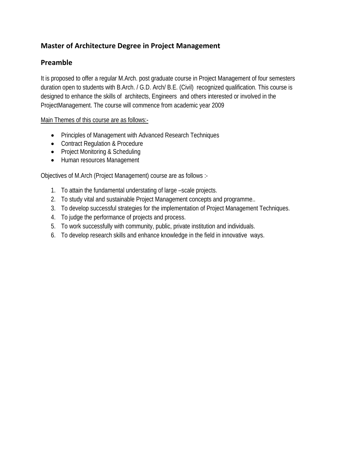# **Master of Architecture Degree in Project Management**

# **Preamble**

It is proposed to offer a regular M.Arch. post graduate course in Project Management of four semesters duration open to students with B.Arch. / G.D. Arch/ B.E. (Civil) recognized qualification. This course is designed to enhance the skills of architects, Engineers and others interested or involved in the ProjectManagement. The course will commence from academic year 2009

Main Themes of this course are as follows:-

- Principles of Management with Advanced Research Techniques
- Contract Regulation & Procedure
- Project Monitoring & Scheduling
- Human resources Management

Objectives of M.Arch (Project Management) course are as follows :-

- 1. To attain the fundamental understating of large –scale projects.
- 2. To study vital and sustainable Project Management concepts and programme..
- 3. To develop successful strategies for the implementation of Project Management Techniques.
- 4. To judge the performance of projects and process.
- 5. To work successfully with community, public, private institution and individuals.
- 6. To develop research skills and enhance knowledge in the field in innovative ways.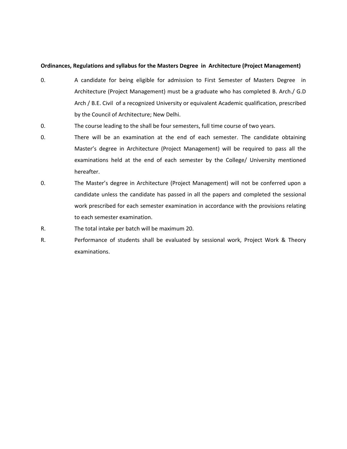#### **Ordinances, Regulations and syllabus for the Masters Degree in Architecture (Project Management)**

- 0. A candidate for being eligible for admission to First Semester of Masters Degree in Architecture (Project Management) must be a graduate who has completed B. Arch./ G.D Arch / B.E. Civil of a recognized University or equivalent Academic qualification, prescribed by the Council of Architecture; New Delhi.
- 0. The course leading to the shall be four semesters, full time course of two years.
- 0. There will be an examination at the end of each semester. The candidate obtaining Master's degree in Architecture (Project Management) will be required to pass all the examinations held at the end of each semester by the College/ University mentioned hereafter.
- 0. The Master's degree in Architecture (Project Management) will not be conferred upon a candidate unless the candidate has passed in all the papers and completed the sessional work prescribed for each semester examination in accordance with the provisions relating to each semester examination.
- R. The total intake per batch will be maximum 20.
- R. Performance of students shall be evaluated by sessional work, Project Work & Theory examinations.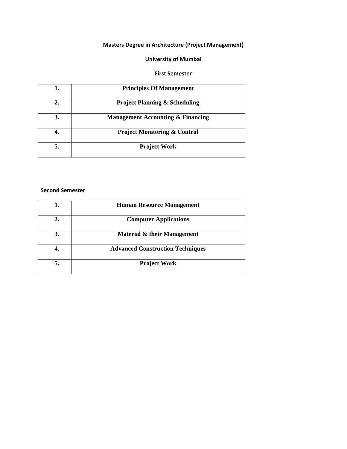## **University of Mumbai**

#### **First Semester**

| 1. | <b>Principles Of Management</b>              |
|----|----------------------------------------------|
| 2. | <b>Project Planning &amp; Scheduling</b>     |
| 3. | <b>Management Accounting &amp; Financing</b> |
|    | <b>Project Monitoring &amp; Control</b>      |
|    | <b>Project Work</b>                          |

### **Second Semester**

|    | <b>Human Resource Management</b>        |
|----|-----------------------------------------|
| 2. | <b>Computer Applications</b>            |
| 3. | Material & their Management             |
|    | <b>Advanced Construction Techniques</b> |
| 5. | <b>Project Work</b>                     |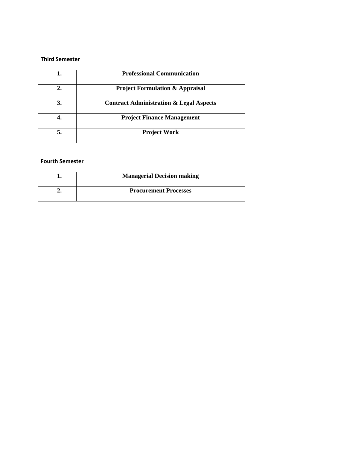#### **Third Semester**

|    | <b>Professional Communication</b>                  |
|----|----------------------------------------------------|
| 2. | <b>Project Formulation &amp; Appraisal</b>         |
| 3. | <b>Contract Administration &amp; Legal Aspects</b> |
|    | <b>Project Finance Management</b>                  |
| 5. | <b>Project Work</b>                                |

## **Fourth Semester**

| <b>Managerial Decision making</b> |
|-----------------------------------|
| <b>Procurement Processes</b>      |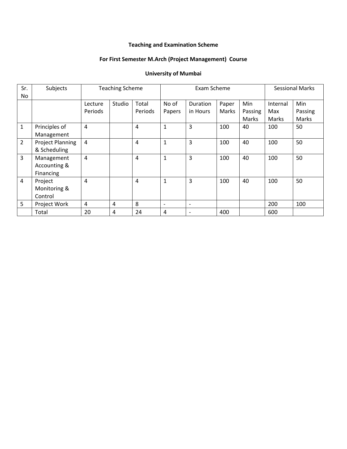# **Teaching and Examination Scheme**

## **For First Semester M.Arch (Project Management) Course**

# **University of Mumbai**

| Sr.<br>No      | Subjects                                |                    | <b>Teaching Scheme</b> |                  |                          | Exam Scheme              | <b>Sessional Marks</b> |                         |                          |                         |
|----------------|-----------------------------------------|--------------------|------------------------|------------------|--------------------------|--------------------------|------------------------|-------------------------|--------------------------|-------------------------|
|                |                                         | Lecture<br>Periods | Studio                 | Total<br>Periods | No of<br>Papers          | Duration<br>in Hours     | Paper<br>Marks         | Min<br>Passing<br>Marks | Internal<br>Max<br>Marks | Min<br>Passing<br>Marks |
| $\mathbf{1}$   | Principles of<br>Management             | 4                  |                        | 4                | $\mathbf{1}$             | 3                        | 100                    | 40                      | 100                      | 50                      |
| $\overline{2}$ | <b>Project Planning</b><br>& Scheduling | $\overline{4}$     |                        | 4                | $\mathbf{1}$             | 3                        | 100                    | 40                      | 100                      | 50                      |
| $\overline{3}$ | Management<br>Accounting &<br>Financing | $\overline{4}$     |                        | $\overline{4}$   | $\mathbf{1}$             | 3                        | 100                    | 40                      | 100                      | 50                      |
| $\overline{4}$ | Project<br>Monitoring &<br>Control      | $\overline{4}$     |                        | 4                | $\mathbf{1}$             | 3                        | 100                    | 40                      | 100                      | 50                      |
| 5              | Project Work                            | 4                  | 4                      | 8                | $\overline{\phantom{a}}$ | $\overline{\phantom{0}}$ |                        |                         | 200                      | 100                     |
|                | Total                                   | 20                 | 4                      | 24               | 4                        |                          | 400                    |                         | 600                      |                         |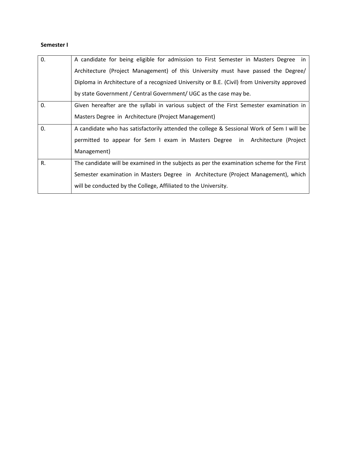## **Semester I**

| 0. | A candidate for being eligible for admission to First Semester in Masters Degree in<br>Architecture (Project Management) of this University must have passed the Degree/ |
|----|--------------------------------------------------------------------------------------------------------------------------------------------------------------------------|
|    | Diploma in Architecture of a recognized University or B.E. (Civil) from University approved                                                                              |
|    | by state Government / Central Government/ UGC as the case may be.                                                                                                        |
| 0. | Given hereafter are the syllabi in various subject of the First Semester examination in                                                                                  |
|    | Masters Degree in Architecture (Project Management)                                                                                                                      |
| 0. | A candidate who has satisfactorily attended the college & Sessional Work of Sem I will be                                                                                |
|    | permitted to appear for Sem I exam in Masters Degree in Architecture (Project                                                                                            |
|    | Management)                                                                                                                                                              |
| R. | The candidate will be examined in the subjects as per the examination scheme for the First                                                                               |
|    | Semester examination in Masters Degree in Architecture (Project Management), which                                                                                       |
|    | will be conducted by the College, Affiliated to the University.                                                                                                          |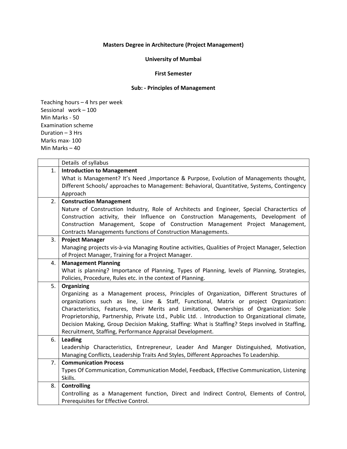## **University of Mumbai**

#### **First Semester**

## **Sub: ‐ Principles of Management**

|    | Details of syllabus                                                                                                             |
|----|---------------------------------------------------------------------------------------------------------------------------------|
| 1. | <b>Introduction to Management</b>                                                                                               |
|    | What is Management? It's Need , Importance & Purpose, Evolution of Managements thought,                                         |
|    | Different Schools/ approaches to Management: Behavioral, Quantitative, Systems, Contingency                                     |
|    | Approach                                                                                                                        |
| 2. | <b>Construction Management</b>                                                                                                  |
|    | Nature of Construction Industry, Role of Architects and Engineer, Special Charactertics of                                      |
|    | Construction activity, their Influence on Construction Managements, Development of                                              |
|    | Construction Management, Scope of Construction Management Project Management,                                                   |
|    | Contracts Managements functions of Construction Managements.                                                                    |
| 3. | <b>Project Manager</b>                                                                                                          |
|    | Managing projects vis-à-via Managing Routine activities, Qualities of Project Manager, Selection                                |
|    | of Project Manager, Training for a Project Manager.                                                                             |
| 4. | <b>Management Planning</b>                                                                                                      |
|    | What is planning? Importance of Planning, Types of Planning, levels of Planning, Strategies,                                    |
|    | Policies, Procedure, Rules etc. in the context of Planning.                                                                     |
| 5. | Organizing                                                                                                                      |
|    |                                                                                                                                 |
|    | Organizing as a Management process, Principles of Organization, Different Structures of                                         |
|    | organizations such as line, Line & Staff, Functional, Matrix or project Organization:                                           |
|    | Characteristics, Features, their Merits and Limitation, Ownerships of Organization: Sole                                        |
|    | Proprietorship, Partnership, Private Ltd., Public Ltd. . Introduction to Organizational climate,                                |
|    | Decision Making, Group Decision Making, Staffing: What is Staffing? Steps involved in Staffing,                                 |
|    | Recruitment, Staffing, Performance Appraisal Development.                                                                       |
| 6. | Leading                                                                                                                         |
|    | Leadership Characteristics, Entrepreneur, Leader And Manger Distinguished, Motivation,                                          |
|    | Managing Conflicts, Leadership Traits And Styles, Different Approaches To Leadership.                                           |
| 7. | <b>Communication Process</b>                                                                                                    |
|    | Types Of Communication, Communication Model, Feedback, Effective Communication, Listening                                       |
|    | Skills.                                                                                                                         |
| 8. | <b>Controlling</b>                                                                                                              |
|    | Controlling as a Management function, Direct and Indirect Control, Elements of Control,<br>Prerequisites for Effective Control. |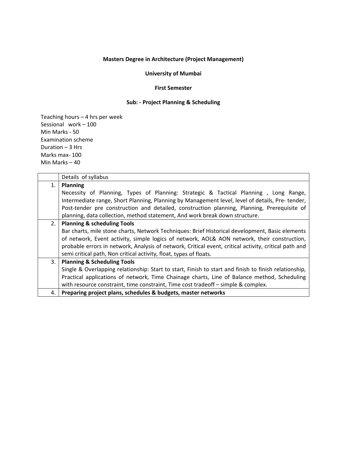#### **University of Mumbai**

#### **First Semester**

## **Sub: ‐ Project Planning & Scheduling**

|    | Details of syllabus                                                                                   |  |  |  |  |  |  |
|----|-------------------------------------------------------------------------------------------------------|--|--|--|--|--|--|
| 1. | <b>Planning</b>                                                                                       |  |  |  |  |  |  |
|    | Necessity of Planning, Types of Planning: Strategic & Tactical Planning, Long Range,                  |  |  |  |  |  |  |
|    | Intermediate range, Short Planning, Planning by Management level, level of details, Pre-tender,       |  |  |  |  |  |  |
|    | Post-tender pre construction and detailed, construction planning, Planning, Prerequisite of           |  |  |  |  |  |  |
|    | planning, data collection, method statement, And work break down structure.                           |  |  |  |  |  |  |
| 2. | <b>Planning &amp; scheduling Tools</b>                                                                |  |  |  |  |  |  |
|    | Bar charts, mile stone charts, Network Techniques: Brief Historical development, Basic elements       |  |  |  |  |  |  |
|    | of network, Event activity, simple logics of network, AOL& AON network, their construction,           |  |  |  |  |  |  |
|    | probable errors in network, Analysis of network, Critical event, critical activity, critical path and |  |  |  |  |  |  |
|    | semi critical path, Non critical activity, float, types of floats.                                    |  |  |  |  |  |  |
| 3. | <b>Planning &amp; Scheduling Tools</b>                                                                |  |  |  |  |  |  |
|    | Single & Overlapping relationship: Start to start, Finish to start and finish to finish relationship, |  |  |  |  |  |  |
|    | Practical applications of network, Time Chainage charts, Line of Balance method, Scheduling           |  |  |  |  |  |  |
|    | with resource constraint, time constraint, Time cost tradeoff - simple & complex.                     |  |  |  |  |  |  |
| 4. | Preparing project plans, schedules & budgets, master networks                                         |  |  |  |  |  |  |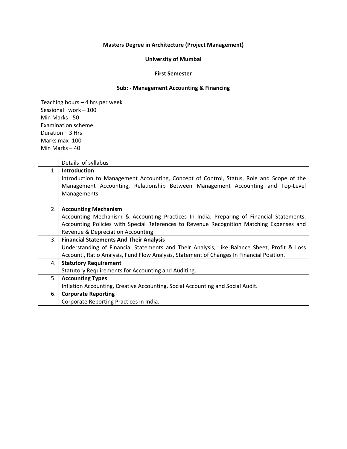## **University of Mumbai**

#### **First Semester**

## **Sub: ‐ Management Accounting & Financing**

|    | Details of syllabus                                                                         |
|----|---------------------------------------------------------------------------------------------|
| 1. | <b>Introduction</b>                                                                         |
|    | Introduction to Management Accounting, Concept of Control, Status, Role and Scope of the    |
|    | Management Accounting, Relationship Between Management Accounting and Top-Level             |
|    | Managements.                                                                                |
|    |                                                                                             |
| 2. | <b>Accounting Mechanism</b>                                                                 |
|    | Accounting Mechanism & Accounting Practices In India. Preparing of Financial Statements,    |
|    | Accounting Policies with Special References to Revenue Recognition Matching Expenses and    |
|    | Revenue & Depreciation Accounting                                                           |
| 3. | <b>Financial Statements And Their Analysis</b>                                              |
|    | Understanding of Financial Statements and Their Analysis, Like Balance Sheet, Profit & Loss |
|    | Account, Ratio Analysis, Fund Flow Analysis, Statement of Changes In Financial Position.    |
| 4. | <b>Statutory Requirement</b>                                                                |
|    | Statutory Requirements for Accounting and Auditing.                                         |
| 5. | <b>Accounting Types</b>                                                                     |
|    | Inflation Accounting, Creative Accounting, Social Accounting and Social Audit.              |
| 6. | <b>Corporate Reporting</b>                                                                  |
|    | Corporate Reporting Practices in India.                                                     |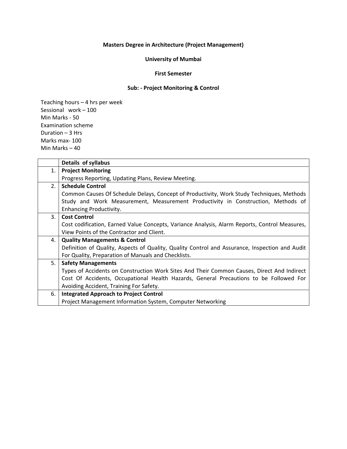## **University of Mumbai**

#### **First Semester**

## **Sub: ‐ Project Monitoring & Control**

|    | Details of syllabus                                                                            |
|----|------------------------------------------------------------------------------------------------|
| 1. | <b>Project Monitoring</b>                                                                      |
|    | Progress Reporting, Updating Plans, Review Meeting.                                            |
| 2. | <b>Schedule Control</b>                                                                        |
|    | Common Causes Of Schedule Delays, Concept of Productivity, Work Study Techniques, Methods      |
|    | Study and Work Measurement, Measurement Productivity in Construction, Methods of               |
|    | <b>Enhancing Productivity.</b>                                                                 |
| 3. | <b>Cost Control</b>                                                                            |
|    | Cost codification, Earned Value Concepts, Variance Analysis, Alarm Reports, Control Measures,  |
|    | View Points of the Contractor and Client.                                                      |
| 4. | <b>Quality Managements &amp; Control</b>                                                       |
|    | Definition of Quality, Aspects of Quality, Quality Control and Assurance, Inspection and Audit |
|    | For Quality, Preparation of Manuals and Checklists.                                            |
| 5. | <b>Safety Managements</b>                                                                      |
|    | Types of Accidents on Construction Work Sites And Their Common Causes, Direct And Indirect     |
|    | Cost Of Accidents, Occupational Health Hazards, General Precautions to be Followed For         |
|    | Avoiding Accident, Training For Safety.                                                        |
| 6. | <b>Integrated Approach to Project Control</b>                                                  |
|    | Project Management Information System, Computer Networking                                     |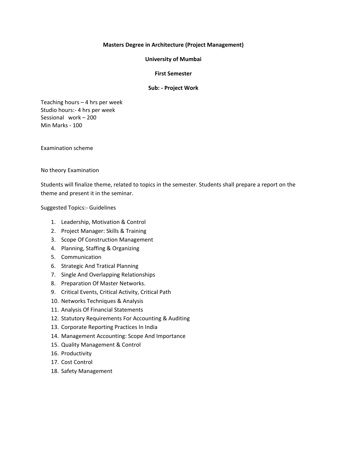#### **University of Mumbai**

#### **First Semester**

#### **Sub: ‐ Project Work**

Teaching hours – 4 hrs per week Studio hours:‐ 4 hrs per week Sessional work – 200 Min Marks ‐ 100

Examination scheme

No theory Examination

Students will finalize theme, related to topics in the semester. Students shall prepare a report on the theme and present it in the seminar.

Suggested Topics:‐ Guidelines

- 1. Leadership, Motivation & Control
- 2. Project Manager: Skills & Training
- 3. Scope Of Construction Management
- 4. Planning, Staffing & Organizing
- 5. Communication
- 6. Strategic And Tratical Planning
- 7. Single And Overlapping Relationships
- 8. Preparation Of Master Networks.
- 9. Critical Events, Critical Activity, Critical Path
- 10. Networks Techniques & Analysis
- 11. Analysis Of Financial Statements
- 12. Statutory Requirements For Accounting & Auditing
- 13. Corporate Reporting Practices In India
- 14. Management Accounting: Scope And Importance
- 15. Quality Management & Control
- 16. Productivity
- 17. Cost Control
- 18. Safety Management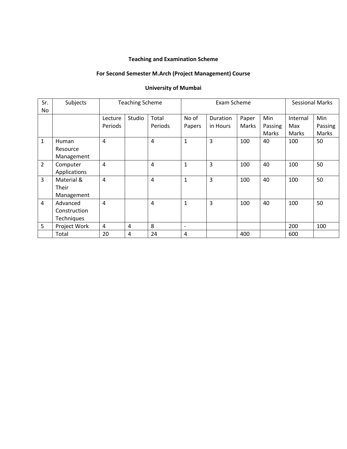## **Teaching and Examination Scheme**

# **For Second Semester M.Arch (Project Management) Course**

## **University of Mumbai**

| Sr.            | Subjects     | <b>Teaching Scheme</b> |        |                | Exam Scheme              |                 |       | <b>Sessional Marks</b> |          |         |
|----------------|--------------|------------------------|--------|----------------|--------------------------|-----------------|-------|------------------------|----------|---------|
| No.            |              |                        |        |                |                          |                 |       |                        |          |         |
|                |              | Lecture                | Studio | Total          | No of                    | <b>Duration</b> | Paper | Min                    | Internal | Min     |
|                |              | Periods                |        | Periods        | Papers                   | in Hours        | Marks | Passing                | Max      | Passing |
|                |              |                        |        |                |                          |                 |       | Marks                  | Marks    | Marks   |
| $\mathbf{1}$   | Human        | $\overline{4}$         |        | $\overline{4}$ | $\mathbf{1}$             | 3               | 100   | 40                     | 100      | 50      |
|                | Resource     |                        |        |                |                          |                 |       |                        |          |         |
|                | Management   |                        |        |                |                          |                 |       |                        |          |         |
| $\overline{2}$ | Computer     | $\overline{4}$         |        | $\overline{4}$ | $\mathbf{1}$             | 3               | 100   | 40                     | 100      | 50      |
|                | Applications |                        |        |                |                          |                 |       |                        |          |         |
| $\overline{3}$ | Material &   | $\overline{4}$         |        | $\overline{4}$ | $\mathbf{1}$             | 3               | 100   | 40                     | 100      | 50      |
|                | Their        |                        |        |                |                          |                 |       |                        |          |         |
|                | Management   |                        |        |                |                          |                 |       |                        |          |         |
| 4              | Advanced     | $\overline{4}$         |        | $\overline{4}$ | $\mathbf{1}$             | 3               | 100   | 40                     | 100      | 50      |
|                | Construction |                        |        |                |                          |                 |       |                        |          |         |
|                | Techniques   |                        |        |                |                          |                 |       |                        |          |         |
| 5              | Project Work | 4                      | 4      | 8              | $\overline{\phantom{a}}$ |                 |       |                        | 200      | 100     |
|                | Total        | 20                     | 4      | 24             | 4                        |                 | 400   |                        | 600      |         |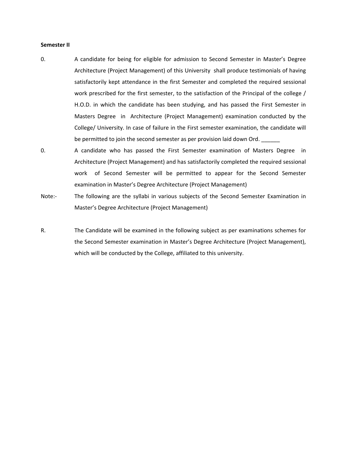#### **Semester II**

- 0. A candidate for being for eligible for admission to Second Semester in Master's Degree Architecture (Project Management) of this University shall produce testimonials of having satisfactorily kept attendance in the first Semester and completed the required sessional work prescribed for the first semester, to the satisfaction of the Principal of the college / H.O.D. in which the candidate has been studying, and has passed the First Semester in Masters Degree in Architecture (Project Management) examination conducted by the College/ University. In case of failure in the First semester examination, the candidate will be permitted to join the second semester as per provision laid down Ord.
- 0. A candidate who has passed the First Semester examination of Masters Degree in Architecture (Project Management) and has satisfactorily completed the required sessional work of Second Semester will be permitted to appear for the Second Semester examination in Master's Degree Architecture (Project Management)
- Note:- The following are the syllabi in various subjects of the Second Semester Examination in Master's Degree Architecture (Project Management)
- R. The Candidate will be examined in the following subject as per examinations schemes for the Second Semester examination in Master's Degree Architecture (Project Management), which will be conducted by the College, affiliated to this university.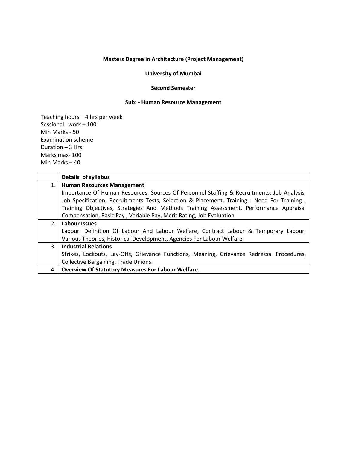#### **University of Mumbai**

#### **Second Semester**

#### **Sub: ‐ Human Resource Management**

|    | Details of syllabus                                                                         |
|----|---------------------------------------------------------------------------------------------|
| 1. | <b>Human Resources Management</b>                                                           |
|    | Importance Of Human Resources, Sources Of Personnel Staffing & Recruitments: Job Analysis,  |
|    | Job Specification, Recruitments Tests, Selection & Placement, Training : Need For Training, |
|    | Training Objectives, Strategies And Methods Training Assessment, Performance Appraisal      |
|    | Compensation, Basic Pay, Variable Pay, Merit Rating, Job Evaluation                         |
| 2. | Labour Issues                                                                               |
|    | Labour: Definition Of Labour And Labour Welfare, Contract Labour & Temporary Labour,        |
|    | Various Theories, Historical Development, Agencies For Labour Welfare.                      |
| 3. | <b>Industrial Relations</b>                                                                 |
|    | Strikes, Lockouts, Lay-Offs, Grievance Functions, Meaning, Grievance Redressal Procedures,  |
|    | Collective Bargaining, Trade Unions.                                                        |
| 4. | <b>Overview Of Statutory Measures For Labour Welfare.</b>                                   |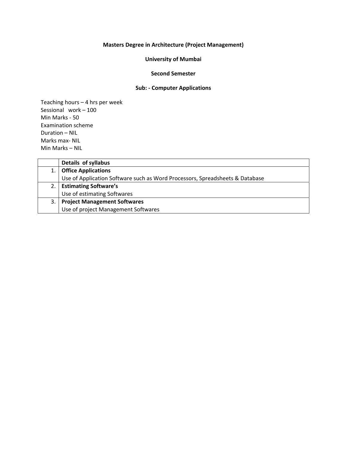## **University of Mumbai**

#### **Second Semester**

## **Sub: ‐ Computer Applications**

|    | Details of syllabus                                                          |
|----|------------------------------------------------------------------------------|
|    | <b>Office Applications</b>                                                   |
|    | Use of Application Software such as Word Processors, Spreadsheets & Database |
|    | <b>Estimating Software's</b>                                                 |
|    | Use of estimating Softwares                                                  |
| 3. | <b>Project Management Softwares</b>                                          |
|    | Use of project Management Softwares                                          |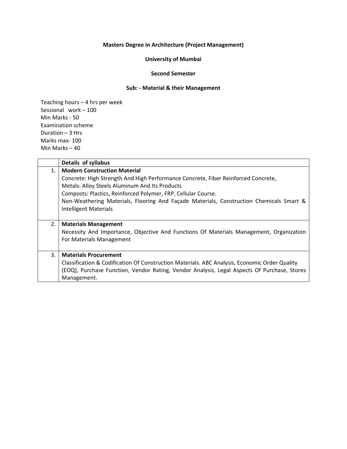### **University of Mumbai**

#### **Second Semester**

## **Sub: ‐ Material & their Management**

|                | Details of syllabus                                                                                                                                                                                                                                                                                                                                                    |
|----------------|------------------------------------------------------------------------------------------------------------------------------------------------------------------------------------------------------------------------------------------------------------------------------------------------------------------------------------------------------------------------|
| $\mathbf{1}$ . | <b>Modern Construction Material</b><br>Concrete: High Strength And High Performance Concrete, Fiber Reinforced Concrete,<br>Metals: Alloy Steels Aluminum And Its Products<br>Composts: Plastics, Reinforced Polymer, FRP, Cellular Course.<br>Non-Weathering Materials, Flooring And Façade Materials, Construction Chemicals Smart &<br><b>Intelligent Materials</b> |
| 2.             | <b>Materials Management</b><br>Necessity And Importance, Objective And Functions Of Materials Management, Organization<br>For Materials Management                                                                                                                                                                                                                     |
| 3.             | <b>Materials Procurement</b><br>Classification & Codification Of Construction Materials. ABC Analysis, Economic Order Quality<br>(EOQ), Purchase Function, Vendor Rating, Vendor Analysis, Legal Aspects Of Purchase, Stores<br>Management.                                                                                                                            |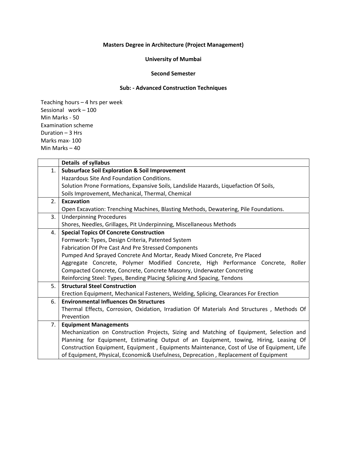## **University of Mumbai**

#### **Second Semester**

## **Sub: ‐ Advanced Construction Techniques**

|    | Details of syllabus                                                                        |
|----|--------------------------------------------------------------------------------------------|
| 1. | <b>Subsurface Soil Exploration &amp; Soil Improvement</b>                                  |
|    | Hazardous Site And Foundation Conditions.                                                  |
|    | Solution Prone Formations, Expansive Soils, Landslide Hazards, Liquefaction Of Soils,      |
|    | Soils Improvement, Mechanical, Thermal, Chemical                                           |
| 2. | <b>Excavation</b>                                                                          |
|    | Open Excavation: Trenching Machines, Blasting Methods, Dewatering, Pile Foundations.       |
| 3. | <b>Underpinning Procedures</b>                                                             |
|    | Shores, Needles, Grillages, Pit Underpinning, Miscellaneous Methods                        |
| 4. | <b>Special Topics Of Concrete Construction</b>                                             |
|    | Formwork: Types, Design Criteria, Patented System                                          |
|    | Fabrication Of Pre Cast And Pre Stressed Components                                        |
|    | Pumped And Sprayed Concrete And Mortar, Ready Mixed Concrete, Pre Placed                   |
|    | Aggregate Concrete, Polymer Modified Concrete, High Performance Concrete, Roller           |
|    | Compacted Concrete, Concrete, Concrete Masonry, Underwater Concreting                      |
|    | Reinforcing Steel: Types, Bending Placing Splicing And Spacing, Tendons                    |
| 5. | <b>Structural Steel Construction</b>                                                       |
|    | Erection Equipment, Mechanical Fasteners, Welding, Splicing, Clearances For Erection       |
| 6. | <b>Environmental Influences On Structures</b>                                              |
|    | Thermal Effects, Corrosion, Oxidation, Irradiation Of Materials And Structures, Methods Of |
|    | Prevention                                                                                 |
| 7. | <b>Equipment Managements</b>                                                               |
|    | Mechanization on Construction Projects, Sizing and Matching of Equipment, Selection and    |
|    | Planning for Equipment, Estimating Output of an Equipment, towing, Hiring, Leasing Of      |
|    | Construction Equipment, Equipment, Equipments Maintenance, Cost of Use of Equipment, Life  |
|    | of Equipment, Physical, Economic& Usefulness, Deprecation, Replacement of Equipment        |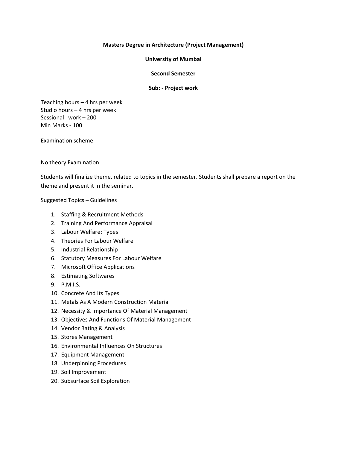#### **University of Mumbai**

#### **Second Semester**

#### **Sub: ‐ Project work**

Teaching hours – 4 hrs per week Studio hours – 4 hrs per week Sessional work – 200 Min Marks ‐ 100

Examination scheme

#### No theory Examination

Students will finalize theme, related to topics in the semester. Students shall prepare a report on the theme and present it in the seminar.

#### Suggested Topics – Guidelines

- 1. Staffing & Recruitment Methods
- 2. Training And Performance Appraisal
- 3. Labour Welfare: Types
- 4. Theories For Labour Welfare
- 5. Industrial Relationship
- 6. Statutory Measures For Labour Welfare
- 7. Microsoft Office Applications
- 8. Estimating Softwares
- 9. P.M.I.S.
- 10. Concrete And Its Types
- 11. Metals As A Modern Construction Material
- 12. Necessity & Importance Of Material Management
- 13. Objectives And Functions Of Material Management
- 14. Vendor Rating & Analysis
- 15. Stores Management
- 16. Environmental Influences On Structures
- 17. Equipment Management
- 18. Underpinning Procedures
- 19. Soil Improvement
- 20. Subsurface Soil Exploration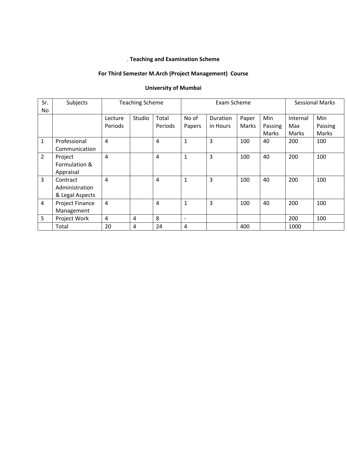## . **Teaching and Examination Scheme**

# **For Third Semester M.Arch (Project Management) Course**

## **University of Mumbai**

| Sr.            | Subjects        | <b>Teaching Scheme</b> |        |                | Exam Scheme     |                 |       | <b>Sessional Marks</b> |          |         |
|----------------|-----------------|------------------------|--------|----------------|-----------------|-----------------|-------|------------------------|----------|---------|
| No.            |                 |                        |        |                |                 |                 |       |                        |          |         |
|                |                 | Lecture                | Studio | Total          | No of           | <b>Duration</b> | Paper | Min                    | Internal | Min     |
|                |                 | Periods                |        | Periods        | Papers          | in Hours        | Marks | Passing                | Max      | Passing |
|                |                 |                        |        |                |                 |                 |       | Marks                  | Marks    | Marks   |
| $\mathbf{1}$   | Professional    | $\overline{4}$         |        | $\overline{a}$ | $\mathbf{1}$    | 3               | 100   | 40                     | 200      | 100     |
|                | Communication   |                        |        |                |                 |                 |       |                        |          |         |
| $\overline{2}$ | Project         | $\overline{4}$         |        | 4              | $\mathbf{1}$    | 3               | 100   | 40                     | 200      | 100     |
|                | Formulation &   |                        |        |                |                 |                 |       |                        |          |         |
|                | Appraisal       |                        |        |                |                 |                 |       |                        |          |         |
| 3              | Contract        | 4                      |        | $\overline{4}$ | $\mathbf{1}$    | 3               | 100   | 40                     | 200      | 100     |
|                | Administration  |                        |        |                |                 |                 |       |                        |          |         |
|                | & Legal Aspects |                        |        |                |                 |                 |       |                        |          |         |
| 4              | Project Finance | 4                      |        | 4              | $\mathbf{1}$    | 3               | 100   | 40                     | 200      | 100     |
|                | Management      |                        |        |                |                 |                 |       |                        |          |         |
| 5              | Project Work    | 4                      | 4      | 8              | $\qquad \qquad$ |                 |       |                        | 200      | 100     |
|                | Total           | 20                     | 4      | 24             | 4               |                 | 400   |                        | 1000     |         |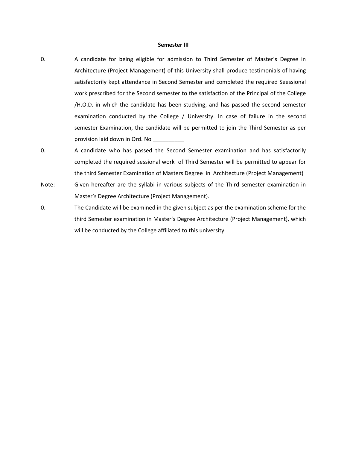#### **Semester III**

- 0. A candidate for being eligible for admission to Third Semester of Master's Degree in Architecture (Project Management) of this University shall produce testimonials of having satisfactorily kept attendance in Second Semester and completed the required Seessional work prescribed for the Second semester to the satisfaction of the Principal of the College /H.O.D. in which the candidate has been studying, and has passed the second semester examination conducted by the College / University. In case of failure in the second semester Examination, the candidate will be permitted to join the Third Semester as per provision laid down in Ord. No \_\_\_\_\_\_\_\_\_\_
- 0. A candidate who has passed the Second Semester examination and has satisfactorily completed the required sessional work of Third Semester will be permitted to appear for the third Semester Examination of Masters Degree in Architecture (Project Management)
- Note:- Given hereafter are the syllabi in various subjects of the Third semester examination in Master's Degree Architecture (Project Management).
- 0. The Candidate will be examined in the given subject as per the examination scheme for the third Semester examination in Master's Degree Architecture (Project Management), which will be conducted by the College affiliated to this university.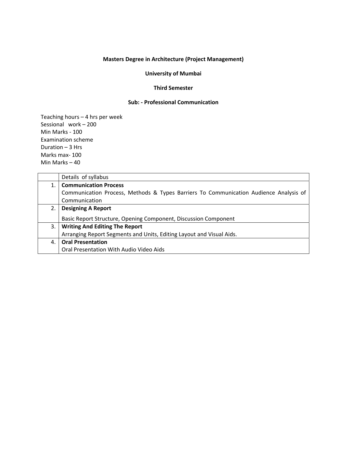#### **University of Mumbai**

#### **Third Semester**

#### **Sub: ‐ Professional Communication**

|    | Details of syllabus                                                                   |
|----|---------------------------------------------------------------------------------------|
| 1. | <b>Communication Process</b>                                                          |
|    | Communication Process, Methods & Types Barriers To Communication Audience Analysis of |
|    | Communication                                                                         |
| 2. | <b>Designing A Report</b>                                                             |
|    | Basic Report Structure, Opening Component, Discussion Component                       |
| 3. | <b>Writing And Editing The Report</b>                                                 |
|    | Arranging Report Segments and Units, Editing Layout and Visual Aids.                  |
| 4. | <b>Oral Presentation</b>                                                              |
|    | Oral Presentation With Audio Video Aids                                               |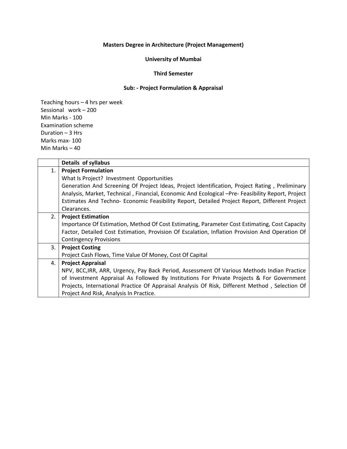## **University of Mumbai**

#### **Third Semester**

## **Sub: ‐ Project Formulation & Appraisal**

|    | Details of syllabus                                                                               |
|----|---------------------------------------------------------------------------------------------------|
| 1. | <b>Project Formulation</b>                                                                        |
|    | What Is Project? Investment Opportunities                                                         |
|    | Generation And Screening Of Project Ideas, Project Identification, Project Rating, Preliminary    |
|    | Analysis, Market, Technical, Financial, Economic And Ecological -Pre- Feasibility Report, Project |
|    | Estimates And Techno- Economic Feasibility Report, Detailed Project Report, Different Project     |
|    | Clearances.                                                                                       |
| 2. | <b>Project Estimation</b>                                                                         |
|    | Importance Of Estimation, Method Of Cost Estimating, Parameter Cost Estimating, Cost Capacity     |
|    | Factor, Detailed Cost Estimation, Provision Of Escalation, Inflation Provision And Operation Of   |
|    | <b>Contingency Provisions</b>                                                                     |
| 3. | <b>Project Costing</b>                                                                            |
|    | Project Cash Flows, Time Value Of Money, Cost Of Capital                                          |
| 4. | <b>Project Appraisal</b>                                                                          |
|    | NPV, BCC, IRR, ARR, Urgency, Pay Back Period, Assessment Of Various Methods Indian Practice       |
|    | of Investment Appraisal As Followed By Institutions For Private Projects & For Government         |
|    | Projects, International Practice Of Appraisal Analysis Of Risk, Different Method, Selection Of    |
|    | Project And Risk, Analysis In Practice.                                                           |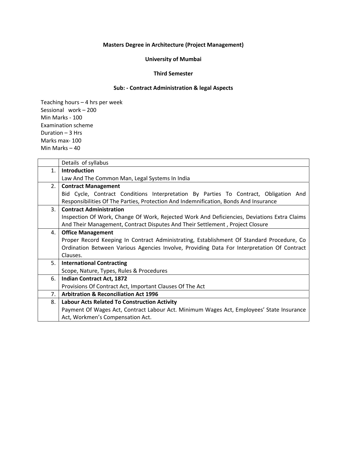## **University of Mumbai**

#### **Third Semester**

## **Sub: ‐ Contract Administration & legal Aspects**

|    | Details of syllabus                                                                         |  |  |  |  |  |  |
|----|---------------------------------------------------------------------------------------------|--|--|--|--|--|--|
| 1. | <b>Introduction</b>                                                                         |  |  |  |  |  |  |
|    | Law And The Common Man, Legal Systems In India                                              |  |  |  |  |  |  |
| 2. | <b>Contract Management</b>                                                                  |  |  |  |  |  |  |
|    | Bid Cycle, Contract Conditions Interpretation By Parties To Contract, Obligation And        |  |  |  |  |  |  |
|    | Responsibilities Of The Parties, Protection And Indemnification, Bonds And Insurance        |  |  |  |  |  |  |
| 3. | <b>Contract Administration</b>                                                              |  |  |  |  |  |  |
|    | Inspection Of Work, Change Of Work, Rejected Work And Deficiencies, Deviations Extra Claims |  |  |  |  |  |  |
|    | And Their Management, Contract Disputes And Their Settlement, Project Closure               |  |  |  |  |  |  |
| 4. | <b>Office Management</b>                                                                    |  |  |  |  |  |  |
|    | Proper Record Keeping In Contract Administrating, Establishment Of Standard Procedure, Co   |  |  |  |  |  |  |
|    | Ordination Between Various Agencies Involve, Providing Data For Interpretation Of Contract  |  |  |  |  |  |  |
|    | Clauses.                                                                                    |  |  |  |  |  |  |
| 5. | <b>International Contracting</b>                                                            |  |  |  |  |  |  |
|    | Scope, Nature, Types, Rules & Procedures                                                    |  |  |  |  |  |  |
| 6. | <b>Indian Contract Act, 1872</b>                                                            |  |  |  |  |  |  |
|    | Provisions Of Contract Act, Important Clauses Of The Act                                    |  |  |  |  |  |  |
| 7. | <b>Arbitration &amp; Reconciliation Act 1996</b>                                            |  |  |  |  |  |  |
| 8. | <b>Labour Acts Related To Construction Activity</b>                                         |  |  |  |  |  |  |
|    | Payment Of Wages Act, Contract Labour Act. Minimum Wages Act, Employees' State Insurance    |  |  |  |  |  |  |
|    | Act, Workmen's Compensation Act.                                                            |  |  |  |  |  |  |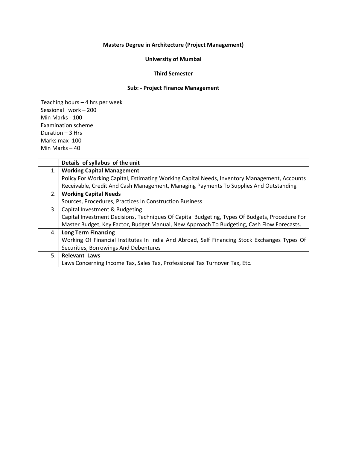## **University of Mumbai**

#### **Third Semester**

## **Sub: ‐ Project Finance Management**

|    | Details of syllabus of the unit                                                                |
|----|------------------------------------------------------------------------------------------------|
| 1. | <b>Working Capital Management</b>                                                              |
|    | Policy For Working Capital, Estimating Working Capital Needs, Inventory Management, Accounts   |
|    | Receivable, Credit And Cash Management, Managing Payments To Supplies And Outstanding          |
| 2. | <b>Working Capital Needs</b>                                                                   |
|    | Sources, Procedures, Practices In Construction Business                                        |
| 3. | Capital Investment & Budgeting                                                                 |
|    | Capital Investment Decisions, Techniques Of Capital Budgeting, Types Of Budgets, Procedure For |
|    | Master Budget, Key Factor, Budget Manual, New Approach To Budgeting, Cash Flow Forecasts.      |
| 4. | <b>Long Term Financing</b>                                                                     |
|    | Working Of Financial Institutes In India And Abroad, Self Financing Stock Exchanges Types Of   |
|    | Securities, Borrowings And Debentures                                                          |
| 5. | <b>Relevant Laws</b>                                                                           |
|    | Laws Concerning Income Tax, Sales Tax, Professional Tax Turnover Tax, Etc.                     |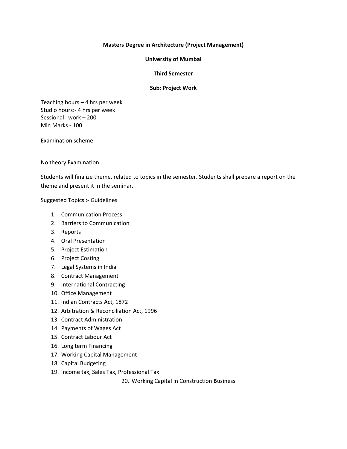#### **University of Mumbai**

#### **Third Semester**

#### **Sub: Project Work**

Teaching hours – 4 hrs per week Studio hours:‐ 4 hrs per week Sessional work – 200 Min Marks ‐ 100

Examination scheme

#### No theory Examination

Students will finalize theme, related to topics in the semester. Students shall prepare a report on the theme and present it in the seminar.

#### Suggested Topics :‐ Guidelines

- 1. Communication Process
- 2. Barriers to Communication
- 3. Reports
- 4. Oral Presentation
- 5. Project Estimation
- 6. Project Costing
- 7. Legal Systems in India
- 8. Contract Management
- 9. International Contracting
- 10. Office Management
- 11. Indian Contracts Act, 1872
- 12. Arbitration & Reconciliation Act, 1996
- 13. Contract Administration
- 14. Payments of Wages Act
- 15. Contract Labour Act
- 16. Long term Financing
- 17. Working Capital Management
- 18. Capital Budgeting
- 19. Income tax, Sales Tax, Professional Tax

20. Working Capital in Construction **B**usiness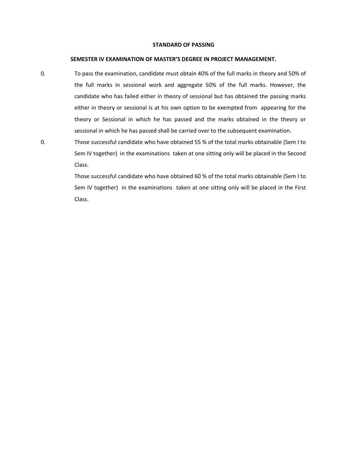#### **STANDARD OF PASSING**

#### **SEMESTER IV EXAMINATION OF MASTER'S DEGREE IN PROJECT MANAGEMENT.**

- 0. To pass the examination, candidate must obtain 40% of the full marks in theory and 50% of the full marks in sessional work and aggregate 50% of the full marks. However, the candidate who has failed either in theory of sessional but has obtained the passing marks either in theory or sessional is at his own option to be exempted from appearing for the theory or Sessional in which he has passed and the marks obtained in the theory or sessional in which he has passed shall be carried over to the subsequent examination.
- 0. Those successful candidate who have obtained 55 % of the total marks obtainable (Sem I to Sem IV together) in the examinations taken at one sitting only will be placed in the Second Class.

Those successful candidate who have obtained 60 % of the total marks obtainable (Sem I to Sem IV together) in the examinations taken at one sitting only will be placed in the First Class.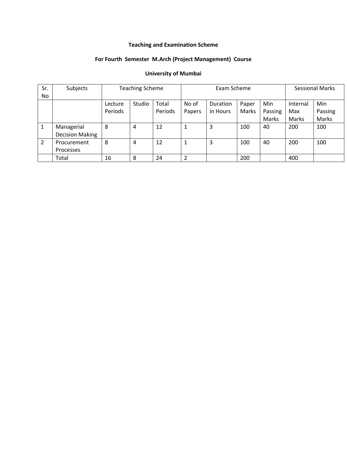# **Teaching and Examination Scheme**

## **For Fourth Semester M.Arch (Project Management) Course**

# **University of Mumbai**

| Sr.<br>N <sub>o</sub> | Subjects                             | <b>Teaching Scheme</b> |        |                  | Exam Scheme     |                             |                |                         | <b>Sessional Marks</b>   |                         |
|-----------------------|--------------------------------------|------------------------|--------|------------------|-----------------|-----------------------------|----------------|-------------------------|--------------------------|-------------------------|
|                       |                                      | Lecture<br>Periods     | Studio | Total<br>Periods | No of<br>Papers | <b>Duration</b><br>in Hours | Paper<br>Marks | Min<br>Passing<br>Marks | Internal<br>Max<br>Marks | Min<br>Passing<br>Marks |
|                       | Managerial<br><b>Decision Making</b> | 8                      | 4      | 12               |                 | 3                           | 100            | 40                      | 200                      | 100                     |
| $\overline{2}$        | Procurement<br>Processes             | 8                      | 4      | 12               | 1               | 3                           | 100            | 40                      | 200                      | 100                     |
|                       | Total                                | 16                     | 8      | 24               | 2               |                             | 200            |                         | 400                      |                         |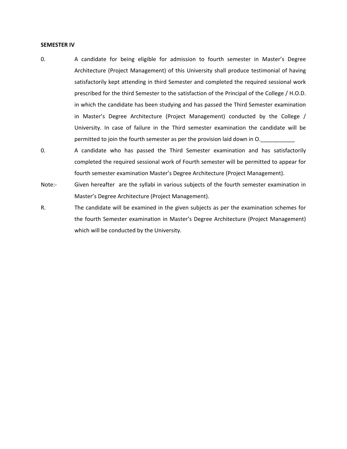#### **SEMESTER IV**

- 0. A candidate for being eligible for admission to fourth semester in Master's Degree Architecture (Project Management) of this University shall produce testimonial of having satisfactorily kept attending in third Semester and completed the required sessional work prescribed for the third Semester to the satisfaction of the Principal of the College / H.O.D. in which the candidate has been studying and has passed the Third Semester examination in Master's Degree Architecture (Project Management) conducted by the College / University. In case of failure in the Third semester examination the candidate will be permitted to join the fourth semester as per the provision laid down in O.
- 0. A candidate who has passed the Third Semester examination and has satisfactorily completed the required sessional work of Fourth semester will be permitted to appear for fourth semester examination Master's Degree Architecture (Project Management).
- Note:- Given hereafter are the syllabi in various subjects of the fourth semester examination in Master's Degree Architecture (Project Management).
- R. The candidate will be examined in the given subjects as per the examination schemes for the fourth Semester examination in Master's Degree Architecture (Project Management) which will be conducted by the University.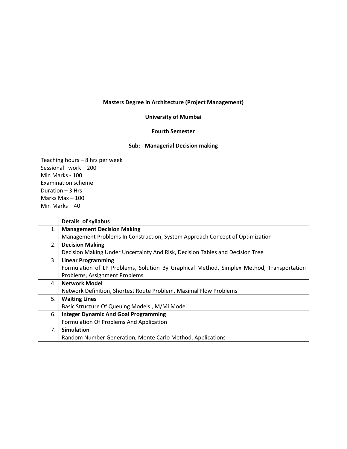## **University of Mumbai**

## **Fourth Semester**

#### **Sub: ‐ Managerial Decision making**

|    | Details of syllabus                                                                      |
|----|------------------------------------------------------------------------------------------|
| 1. | <b>Management Decision Making</b>                                                        |
|    | Management Problems In Construction, System Approach Concept of Optimization             |
| 2. | <b>Decision Making</b>                                                                   |
|    | Decision Making Under Uncertainty And Risk, Decision Tables and Decision Tree            |
| 3. | <b>Linear Programming</b>                                                                |
|    | Formulation of LP Problems, Solution By Graphical Method, Simplex Method, Transportation |
|    | Problems, Assignment Problems                                                            |
| 4. | <b>Network Model</b>                                                                     |
|    | Network Definition, Shortest Route Problem, Maximal Flow Problems                        |
| 5. | <b>Waiting Lines</b>                                                                     |
|    | Basic Structure Of Queuing Models, M/Mi Model                                            |
| 6. | <b>Integer Dynamic And Goal Programming</b>                                              |
|    | Formulation Of Problems And Application                                                  |
| 7. | <b>Simulation</b>                                                                        |
|    | Random Number Generation, Monte Carlo Method, Applications                               |